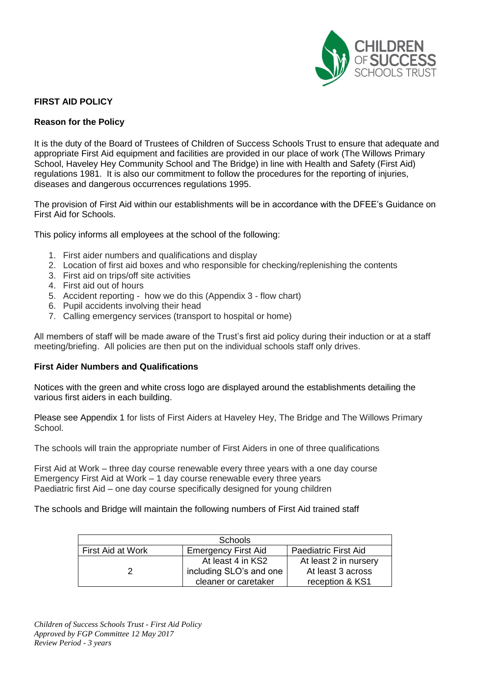

### **FIRST AID POLICY**

#### **Reason for the Policy**

It is the duty of the Board of Trustees of Children of Success Schools Trust to ensure that adequate and appropriate First Aid equipment and facilities are provided in our place of work (The Willows Primary School, Haveley Hey Community School and The Bridge) in line with Health and Safety (First Aid) regulations 1981. It is also our commitment to follow the procedures for the reporting of injuries, diseases and dangerous occurrences regulations 1995.

The provision of First Aid within our establishments will be in accordance with the DFEE's Guidance on First Aid for Schools.

This policy informs all employees at the school of the following:

- 1. First aider numbers and qualifications and display
- 2. Location of first aid boxes and who responsible for checking/replenishing the contents
- 3. First aid on trips/off site activities
- 4. First aid out of hours
- 5. Accident reporting how we do this (Appendix 3 flow chart)
- 6. Pupil accidents involving their head
- 7. Calling emergency services (transport to hospital or home)

All members of staff will be made aware of the Trust's first aid policy during their induction or at a staff meeting/briefing. All policies are then put on the individual schools staff only drives.

#### **First Aider Numbers and Qualifications**

Notices with the green and white cross logo are displayed around the establishments detailing the various first aiders in each building.

Please see Appendix 1 for lists of First Aiders at Haveley Hey, The Bridge and The Willows Primary School.

The schools will train the appropriate number of First Aiders in one of three qualifications

First Aid at Work – three day course renewable every three years with a one day course Emergency First Aid at Work – 1 day course renewable every three years Paediatric first Aid – one day course specifically designed for young children

The schools and Bridge will maintain the following numbers of First Aid trained staff

| <b>Schools</b>    |                            |                             |  |
|-------------------|----------------------------|-----------------------------|--|
| First Aid at Work | <b>Emergency First Aid</b> | <b>Paediatric First Aid</b> |  |
|                   | At least 4 in KS2          | At least 2 in nursery       |  |
|                   | including SLO's and one    | At least 3 across           |  |
|                   | cleaner or caretaker       | reception & KS1             |  |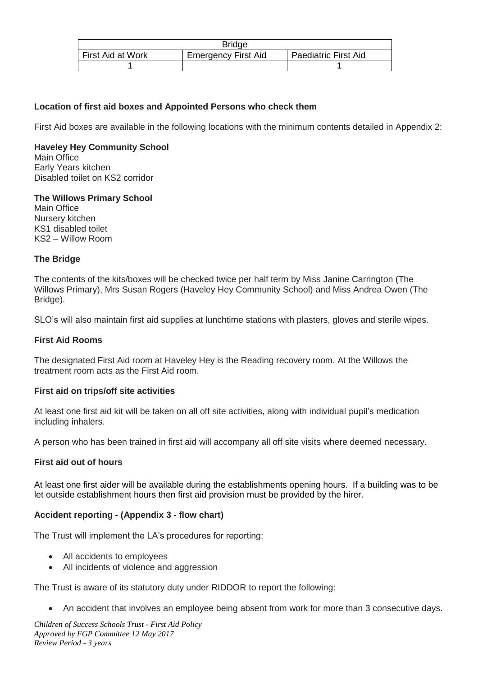| <b>Bridge</b>     |                            |                             |  |
|-------------------|----------------------------|-----------------------------|--|
| First Aid at Work | <b>Emergency First Aid</b> | <b>Paediatric First Aid</b> |  |
|                   |                            |                             |  |

#### **Location of first aid boxes and Appointed Persons who check them**

First Aid boxes are available in the following locations with the minimum contents detailed in Appendix 2:

#### **Haveley Hey Community School** Main Office Early Years kitchen Disabled toilet on KS2 corridor

# **The Willows Primary School**

Main Office Nursery kitchen KS1 disabled toilet KS2 – Willow Room

#### **The Bridge**

The contents of the kits/boxes will be checked twice per half term by Miss Janine Carrington (The Willows Primary), Mrs Susan Rogers (Haveley Hey Community School) and Miss Andrea Owen (The Bridge).

SLO's will also maintain first aid supplies at lunchtime stations with plasters, gloves and sterile wipes.

#### **First Aid Rooms**

The designated First Aid room at Haveley Hey is the Reading recovery room. At the Willows the treatment room acts as the First Aid room.

#### **First aid on trips/off site activities**

At least one first aid kit will be taken on all off site activities, along with individual pupil's medication including inhalers.

A person who has been trained in first aid will accompany all off site visits where deemed necessary.

#### **First aid out of hours**

At least one first aider will be available during the establishments opening hours. If a building was to be let outside establishment hours then first aid provision must be provided by the hirer.

#### **Accident reporting - (Appendix 3 - flow chart)**

The Trust will implement the LA's procedures for reporting:

- All accidents to employees
- All incidents of violence and aggression

The Trust is aware of its statutory duty under RIDDOR to report the following:

An accident that involves an employee being absent from work for more than 3 consecutive days.

*Children of Success Schools Trust - First Aid Policy Approved by FGP Committee 12 May 2017 Review Period - 3 years*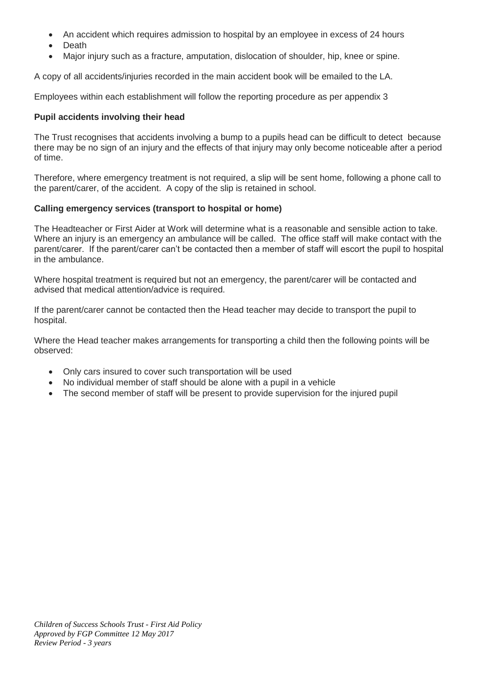- An accident which requires admission to hospital by an employee in excess of 24 hours
- Death
- Major injury such as a fracture, amputation, dislocation of shoulder, hip, knee or spine.

A copy of all accidents/injuries recorded in the main accident book will be emailed to the LA.

Employees within each establishment will follow the reporting procedure as per appendix 3

### **Pupil accidents involving their head**

The Trust recognises that accidents involving a bump to a pupils head can be difficult to detect because there may be no sign of an injury and the effects of that injury may only become noticeable after a period of time.

Therefore, where emergency treatment is not required, a slip will be sent home, following a phone call to the parent/carer, of the accident. A copy of the slip is retained in school.

# **Calling emergency services (transport to hospital or home)**

The Headteacher or First Aider at Work will determine what is a reasonable and sensible action to take. Where an injury is an emergency an ambulance will be called. The office staff will make contact with the parent/carer. If the parent/carer can't be contacted then a member of staff will escort the pupil to hospital in the ambulance.

Where hospital treatment is required but not an emergency, the parent/carer will be contacted and advised that medical attention/advice is required.

If the parent/carer cannot be contacted then the Head teacher may decide to transport the pupil to hospital.

Where the Head teacher makes arrangements for transporting a child then the following points will be observed:

- Only cars insured to cover such transportation will be used
- No individual member of staff should be alone with a pupil in a vehicle
- The second member of staff will be present to provide supervision for the injured pupil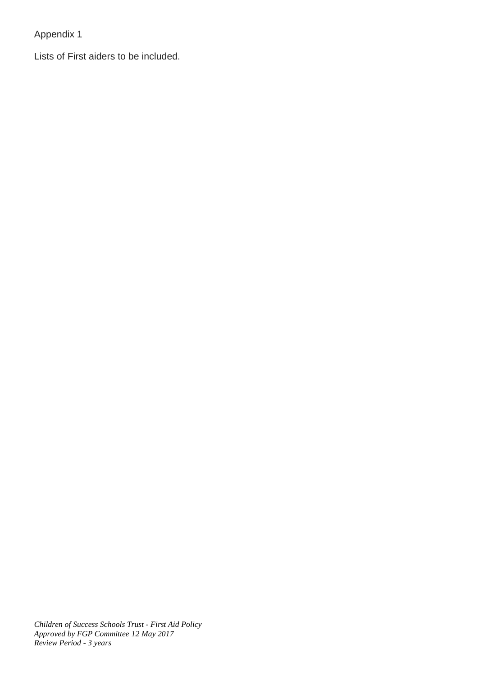Appendix 1

Lists of First aiders to be included.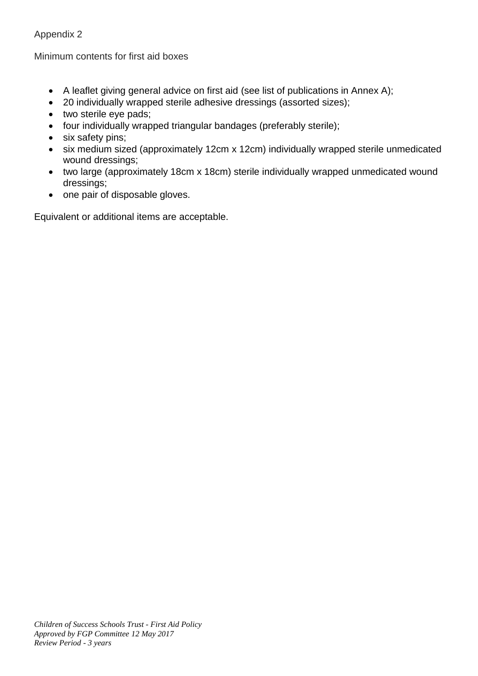# Appendix 2

Minimum contents for first aid boxes

- A leaflet giving general advice on first aid (see list of publications in Annex A);
- 20 individually wrapped sterile adhesive dressings (assorted sizes);
- two sterile eye pads;
- four individually wrapped triangular bandages (preferably sterile);
- six safety pins;
- six medium sized (approximately 12cm x 12cm) individually wrapped sterile unmedicated wound dressings;
- two large (approximately 18cm x 18cm) sterile individually wrapped unmedicated wound dressings;
- one pair of disposable gloves.

Equivalent or additional items are acceptable.